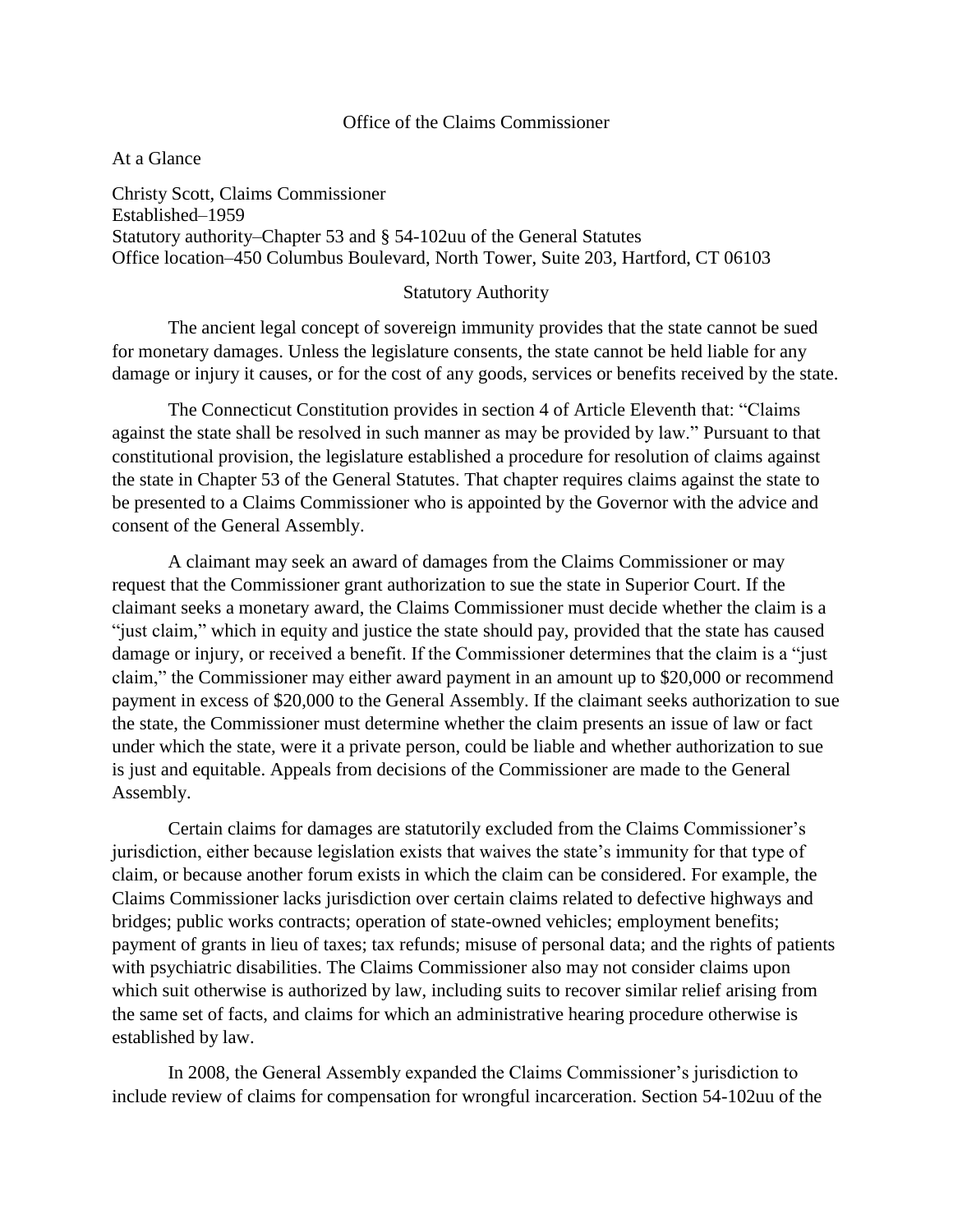## Office of the Claims Commissioner

At a Glance

Christy Scott, Claims Commissioner Established–1959 Statutory authority–Chapter 53 and § 54-102uu of the General Statutes Office location–450 Columbus Boulevard, North Tower, Suite 203, Hartford, CT 06103

#### Statutory Authority

The ancient legal concept of sovereign immunity provides that the state cannot be sued for monetary damages. Unless the legislature consents, the state cannot be held liable for any damage or injury it causes, or for the cost of any goods, services or benefits received by the state.

The Connecticut Constitution provides in section 4 of Article Eleventh that: "Claims against the state shall be resolved in such manner as may be provided by law." Pursuant to that constitutional provision, the legislature established a procedure for resolution of claims against the state in Chapter 53 of the General Statutes. That chapter requires claims against the state to be presented to a Claims Commissioner who is appointed by the Governor with the advice and consent of the General Assembly.

A claimant may seek an award of damages from the Claims Commissioner or may request that the Commissioner grant authorization to sue the state in Superior Court. If the claimant seeks a monetary award, the Claims Commissioner must decide whether the claim is a "just claim," which in equity and justice the state should pay, provided that the state has caused damage or injury, or received a benefit. If the Commissioner determines that the claim is a "just claim," the Commissioner may either award payment in an amount up to \$20,000 or recommend payment in excess of \$20,000 to the General Assembly. If the claimant seeks authorization to sue the state, the Commissioner must determine whether the claim presents an issue of law or fact under which the state, were it a private person, could be liable and whether authorization to sue is just and equitable. Appeals from decisions of the Commissioner are made to the General Assembly.

Certain claims for damages are statutorily excluded from the Claims Commissioner's jurisdiction, either because legislation exists that waives the state's immunity for that type of claim, or because another forum exists in which the claim can be considered. For example, the Claims Commissioner lacks jurisdiction over certain claims related to defective highways and bridges; public works contracts; operation of state-owned vehicles; employment benefits; payment of grants in lieu of taxes; tax refunds; misuse of personal data; and the rights of patients with psychiatric disabilities. The Claims Commissioner also may not consider claims upon which suit otherwise is authorized by law, including suits to recover similar relief arising from the same set of facts, and claims for which an administrative hearing procedure otherwise is established by law.

In 2008, the General Assembly expanded the Claims Commissioner's jurisdiction to include review of claims for compensation for wrongful incarceration. Section 54-102uu of the